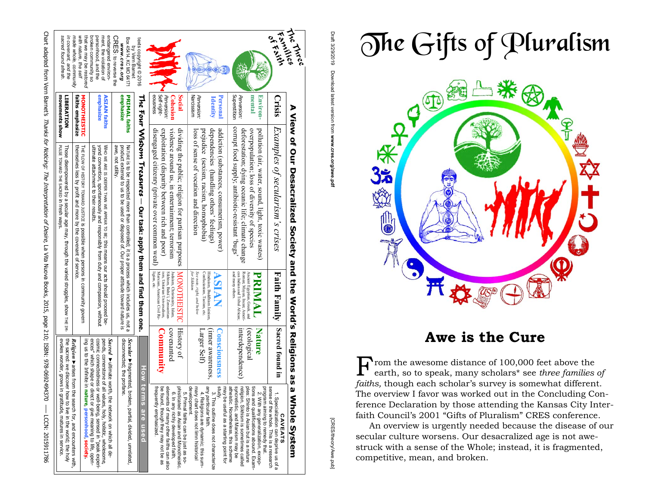

## **Awe is the Cure**

From the awesome distance of 100,000 feet above the earth, so to speak, many scholars\* see *three families of faiths,* though each scholar's survey is somewhat different. The overview I favor was worked out in the Concluding Conference Declaration by those attending the Kansas City Interfaith Council's 2001 "Gifts of Pluralism" CRES conference.

 An overview is urgently needed because the disease of our secular culture worsens. Our desacralized age is not awestruck with a sense of the Whole; instead, it is fragmented, competitive, mean, and broken.

Draft 3/29/2019 Download latest version from www.cres.org/awe.pdf Draft 3/29/2019 Download latest version from **www.cres.org/awe.pdf** 

[CRES/theory/Awe.pub]

[CRES/theory/Awe.pub]

| <b>The Three</b><br><b>TRAMANS</b><br><b>OR ROYSIN</b><br>٥                                                                | Superstition<br>Narcissism<br>Personal<br>Perversion:<br>mental<br>Environ-<br>Perversion.<br>Crisis<br>ldentity | <b>A Mindesacralized Society and the Morld Serigions as A Mindison D</b><br>corrupt food supply; antibiotic-resistant 'bugs'<br>Examples of secularism's crises<br>dependencies (handling others' feelings)<br>addiction (substances, consumerism, power)<br>deforestation; dying oceanic life; climate change<br>overpopulation; loss of diversity of species<br>prejudice (sexism, racism, homophobia)<br>pollution (air, water, sound, light, toxic wastes)<br>loss of sense of vocation and direction | and many others.<br>for Sikhism<br>See note, right, and below<br>Confucianism, Taoism, etc<br>can Indian and Tribal African;<br>Roman; Mayan, Incan; Ameri-<br>Ancient Egyptian, Greek, and<br>Faith Family<br>Hinduism, Buddhism Jaimism,<br>ASIAN<br>PRIMAL | Sacred found in<br>interdependence)<br>(inner awareness,<br>Larger Self)<br>ecological<br>Nature<br><b>Consciousness</b>                                              |
|----------------------------------------------------------------------------------------------------------------------------|------------------------------------------------------------------------------------------------------------------|-----------------------------------------------------------------------------------------------------------------------------------------------------------------------------------------------------------------------------------------------------------------------------------------------------------------------------------------------------------------------------------------------------------------------------------------------------------------------------------------------------------|---------------------------------------------------------------------------------------------------------------------------------------------------------------------------------------------------------------------------------------------------------------|-----------------------------------------------------------------------------------------------------------------------------------------------------------------------|
|                                                                                                                            |                                                                                                                  |                                                                                                                                                                                                                                                                                                                                                                                                                                                                                                           |                                                                                                                                                                                                                                                               |                                                                                                                                                                       |
|                                                                                                                            | eousness<br>Self-right-<br>Perversion.<br><b>Cohesion</b><br><b>Social</b>                                       | exploitation (disparity between rich and poor)<br>disengaged citizenry (private over common weal)<br>violence around us, in entertainment; terrorism<br>dividing the public; religion for partisan purposes                                                                                                                                                                                                                                                                                               | ligion, etc.<br>Sikhism, Bahá'í, Zoroastrian-<br>Marxism, American Civil Re-<br>ism, Unitarian Universalism,<br>Judaism, Christianity, Islam,<br>MONOTHEISTI                                                                                                  | covenanted<br>History of<br><b>Community</b>                                                                                                                          |
| texts copyright @ 2016                                                                                                     |                                                                                                                  | Пис #0x# Wigooxh Treaskies — Our task: арьс them and them one.                                                                                                                                                                                                                                                                                                                                                                                                                                            |                                                                                                                                                                                                                                                               | <u>How terms are used</u>                                                                                                                                             |
| Box 45414, KC MO 64171<br>WWW.Cres.org<br>by Vern Barnet                                                                   | emphasize<br><b>PRIMAL</b> faiths                                                                                | awe, not utility.<br>product external to us to be used or disposed of. Our proper attitude toward nature is<br>NATURE is to be respected more than controlled; it is a process which includes us, not a                                                                                                                                                                                                                                                                                                   |                                                                                                                                                                                                                                                               | disconnected; the profane.<br>Secular ▶ fragmented, broken, partial, divided, unrelated,                                                                              |
| endangered environ-<br>broken community so<br>personhood, and the<br>ment, the violation of<br><b>CRES:</b> to reverse the | emphasize<br><b>ASIAN faiths</b>                                                                                 | ultimate attachment to their results.<br>WHO WE ARE 15 DEEPER THAN WE APPEAR TO BE, this means our acts should proceed be-<br>yond convention, spontaneously and responsibly from duty and compassion, without                                                                                                                                                                                                                                                                                            |                                                                                                                                                                                                                                                               | ences" which shape or<br>cosmic connectedness<br>Sacred ▶ ultimate worth, the network on which all de-<br>pends, comerstone of all values, holy, holistic, wholesome, |
| with nature, the self<br>that we may be restored<br>made whole, community                                                  | faiths emphasize<br><b>MONOTHEISTIC</b>                                                                          | themselves less by profit and more by the covenant of service.<br>THE FLOW OF HISTORY TOWARD JUSTICE is possible when persons in community govern                                                                                                                                                                                                                                                                                                                                                         |                                                                                                                                                                                                                                                               | <i>Religion</i> ▶ arises from<br>ing us to the Infinite in                                                                                                            |
| sacred found afresh<br>Э<br>covenant, and the                                                                              | movements show<br><b>LIBERATION</b>                                                                              | PULSE TOWARD THE SACRED in fresh ways<br>Those disempowered by a secular age may, through the varied struggles, show THE IM                                                                                                                                                                                                                                                                                                                                                                               |                                                                                                                                                                                                                                                               | the sacred: we discover how to live in the world; the holy<br>evokes wonder, grows                                                                                    |

Chart adapted from Vern Barnet's Tranks for Moticing: The Interpretation of Desire, La Vita Nuova Books, 2015, page 210; ISBN: 978-0692494370 Chart adapted from Vern Barnet's Thanks for Noticing: The Interpretation of Desire, La Vita Nuova Books, 2015, page 210; ISBN: 978-0692494370 —– LCCN: 2015911786 - LCCN: 2015911786